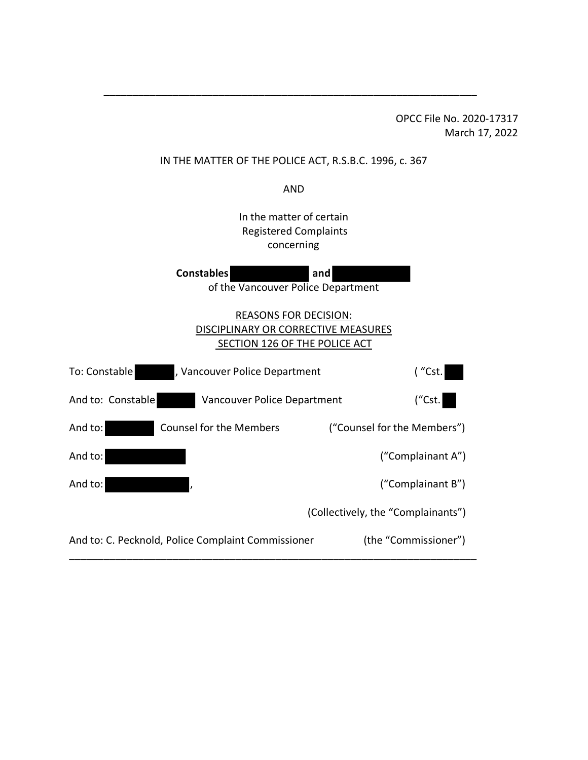OPCC File No. 2020-17317 March 17, 2022

#### IN THE MATTER OF THE POLICE ACT, R.S.B.C. 1996, c. 367

\_\_\_\_\_\_\_\_\_\_\_\_\_\_\_\_\_\_\_\_\_\_\_\_\_\_\_\_\_\_\_\_\_\_\_\_\_\_\_\_\_\_\_\_\_\_\_\_\_\_\_\_\_\_\_\_\_\_\_\_\_\_\_\_\_

AND

In the matter of certain Registered Complaints concerning

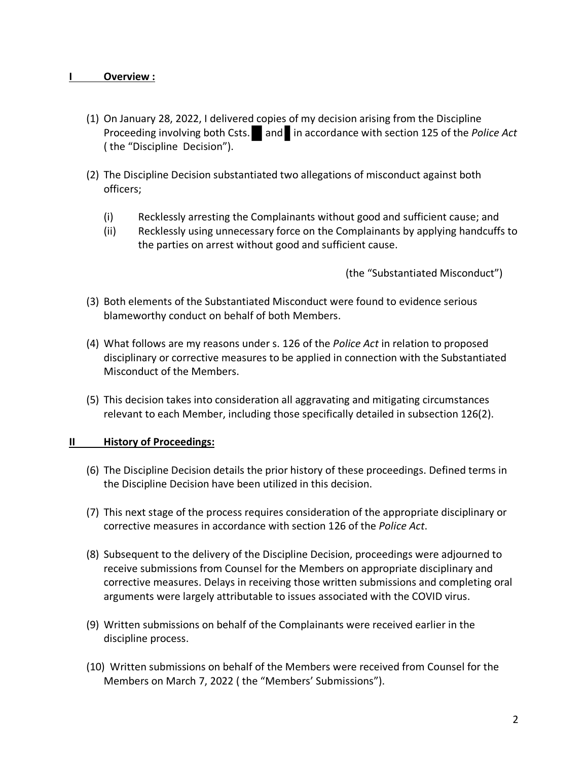#### **I Overview :**

- (1) On January 28, 2022, I delivered copies of my decision arising from the Discipline Proceeding involving both Csts. and in accordance with section 125 of the *Police Act* ( the "Discipline Decision").
- (2) The Discipline Decision substantiated two allegations of misconduct against both officers;
	- (i) Recklessly arresting the Complainants without good and sufficient cause; and
	- (ii) Recklessly using unnecessary force on the Complainants by applying handcuffs to the parties on arrest without good and sufficient cause.

(the "Substantiated Misconduct")

- (3) Both elements of the Substantiated Misconduct were found to evidence serious blameworthy conduct on behalf of both Members.
- (4) What follows are my reasons under s. 126 of the *Police Act* in relation to proposed disciplinary or corrective measures to be applied in connection with the Substantiated Misconduct of the Members.
- (5) This decision takes into consideration all aggravating and mitigating circumstances relevant to each Member, including those specifically detailed in subsection 126(2).

#### **II History of Proceedings:**

- (6) The Discipline Decision details the prior history of these proceedings. Defined terms in the Discipline Decision have been utilized in this decision.
- (7) This next stage of the process requires consideration of the appropriate disciplinary or corrective measures in accordance with section 126 of the *Police Act*.
- (8) Subsequent to the delivery of the Discipline Decision, proceedings were adjourned to receive submissions from Counsel for the Members on appropriate disciplinary and corrective measures. Delays in receiving those written submissions and completing oral arguments were largely attributable to issues associated with the COVID virus.
- (9) Written submissions on behalf of the Complainants were received earlier in the discipline process.
- (10) Written submissions on behalf of the Members were received from Counsel for the Members on March 7, 2022 ( the "Members' Submissions").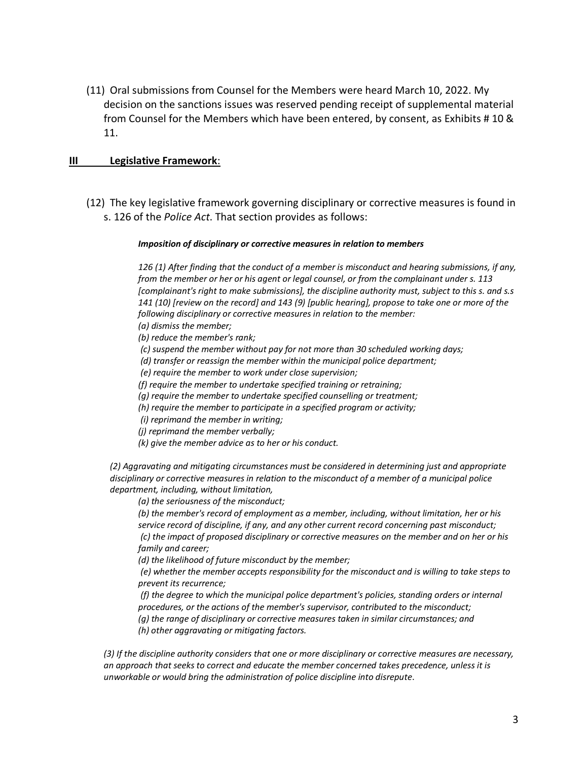(11) Oral submissions from Counsel for the Members were heard March 10, 2022. My decision on the sanctions issues was reserved pending receipt of supplemental material from Counsel for the Members which have been entered, by consent, as Exhibits # 10 & 11.

#### **III Legislative Framework**:

(12) The key legislative framework governing disciplinary or corrective measures is found in s. 126 of the *Police Act*. That section provides as follows:

#### *Imposition of disciplinary or corrective measures in relation to members*

*126 (1) After finding that the conduct of a member is misconduct and hearing submissions, if any, from the member or her or his agent or legal counsel, or from the complainant under s. 113 [complainant's right to make submissions], the discipline authority must, subject to this s. and s.s 141 (10) [review on the record] and 143 (9) [public hearing], propose to take one or more of the following disciplinary or corrective measures in relation to the member: (a) dismiss the member;*

*(b) reduce the member's rank;*

*(c) suspend the member without pay for not more than 30 scheduled working days;*

*(d) transfer or reassign the member within the municipal police department;*

*(e) require the member to work under close supervision;*

*(f) require the member to undertake specified training or retraining;*

*(g) require the member to undertake specified counselling or treatment;*

*(h) require the member to participate in a specified program or activity;*

*(i) reprimand the member in writing;*

*(j) reprimand the member verbally;*

*(k) give the member advice as to her or his conduct.*

*(2) Aggravating and mitigating circumstances must be considered in determining just and appropriate disciplinary or corrective measures in relation to the misconduct of a member of a municipal police department, including, without limitation,* 

*(a) the seriousness of the misconduct;*

*(b) the member's record of employment as a member, including, without limitation, her or his service record of discipline, if any, and any other current record concerning past misconduct; (c) the impact of proposed disciplinary or corrective measures on the member and on her or his family and career;*

*(d) the likelihood of future misconduct by the member;*

*(e) whether the member accepts responsibility for the misconduct and is willing to take steps to prevent its recurrence;*

*(f) the degree to which the municipal police department's policies, standing orders or internal procedures, or the actions of the member's supervisor, contributed to the misconduct;*

*(g) the range of disciplinary or corrective measures taken in similar circumstances; and (h) other aggravating or mitigating factors.* 

*(3) If the discipline authority considers that one or more disciplinary or corrective measures are necessary, an approach that seeks to correct and educate the member concerned takes precedence, unless it is unworkable or would bring the administration of police discipline into disrepute*.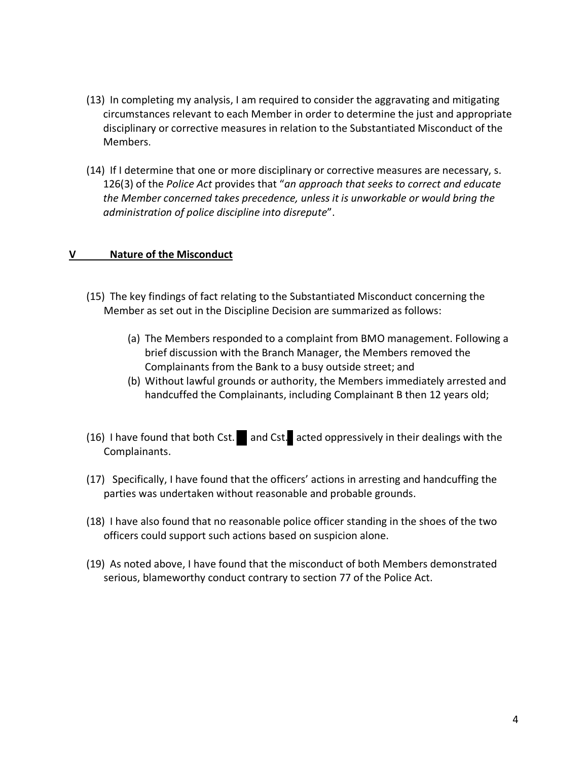- (13) In completing my analysis, I am required to consider the aggravating and mitigating circumstances relevant to each Member in order to determine the just and appropriate disciplinary or corrective measures in relation to the Substantiated Misconduct of the Members.
- (14) If I determine that one or more disciplinary or corrective measures are necessary, s. 126(3) of the *Police Act* provides that "*an approach that seeks to correct and educate the Member concerned takes precedence, unless it is unworkable or would bring the administration of police discipline into disrepute*".

#### **V Nature of the Misconduct**

- (15) The key findings of fact relating to the Substantiated Misconduct concerning the Member as set out in the Discipline Decision are summarized as follows:
	- (a) The Members responded to a complaint from BMO management. Following a brief discussion with the Branch Manager, the Members removed the Complainants from the Bank to a busy outside street; and
	- (b) Without lawful grounds or authority, the Members immediately arrested and handcuffed the Complainants, including Complainant B then 12 years old;
- (16) I have found that both Cst. and Cst. acted oppressively in their dealings with the Complainants.
- (17) Specifically, I have found that the officers' actions in arresting and handcuffing the parties was undertaken without reasonable and probable grounds.
- (18) I have also found that no reasonable police officer standing in the shoes of the two officers could support such actions based on suspicion alone.
- (19) As noted above, I have found that the misconduct of both Members demonstrated serious, blameworthy conduct contrary to section 77 of the Police Act.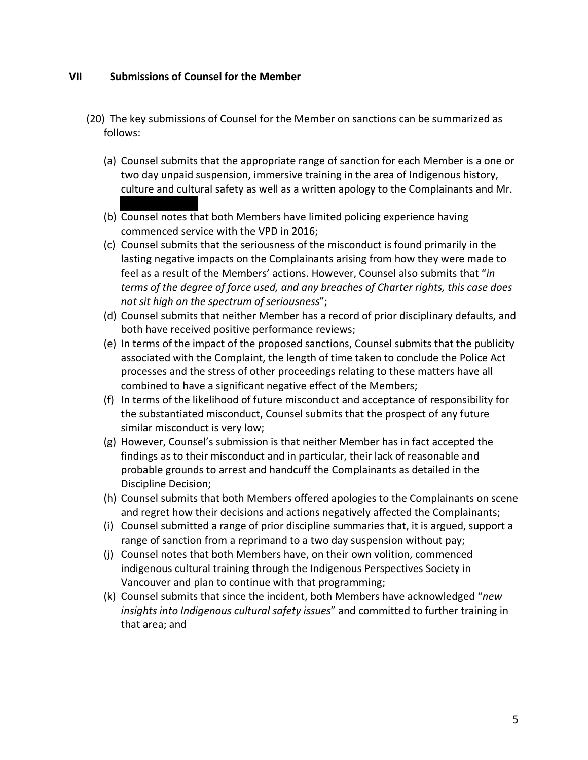#### **VII Submissions of Counsel for the Member**

- (20) The key submissions of Counsel for the Member on sanctions can be summarized as follows:
	- (a) Counsel submits that the appropriate range of sanction for each Member is a one or two day unpaid suspension, immersive training in the area of Indigenous history, culture and cultural safety as well as a written apology to the Complainants and Mr.
	- (b) Counsel notes that both Members have limited policing experience having commenced service with the VPD in 2016;
	- (c) Counsel submits that the seriousness of the misconduct is found primarily in the lasting negative impacts on the Complainants arising from how they were made to feel as a result of the Members' actions. However, Counsel also submits that "*in terms of the degree of force used, and any breaches of Charter rights, this case does not sit high on the spectrum of seriousness*";
	- (d) Counsel submits that neither Member has a record of prior disciplinary defaults, and both have received positive performance reviews;
	- (e) In terms of the impact of the proposed sanctions, Counsel submits that the publicity associated with the Complaint, the length of time taken to conclude the Police Act processes and the stress of other proceedings relating to these matters have all combined to have a significant negative effect of the Members;
	- (f) In terms of the likelihood of future misconduct and acceptance of responsibility for the substantiated misconduct, Counsel submits that the prospect of any future similar misconduct is very low;
	- (g) However, Counsel's submission is that neither Member has in fact accepted the findings as to their misconduct and in particular, their lack of reasonable and probable grounds to arrest and handcuff the Complainants as detailed in the Discipline Decision;
	- (h) Counsel submits that both Members offered apologies to the Complainants on scene and regret how their decisions and actions negatively affected the Complainants;
	- (i) Counsel submitted a range of prior discipline summaries that, it is argued, support a range of sanction from a reprimand to a two day suspension without pay;
	- (j) Counsel notes that both Members have, on their own volition, commenced indigenous cultural training through the Indigenous Perspectives Society in Vancouver and plan to continue with that programming;
	- (k) Counsel submits that since the incident, both Members have acknowledged "*new insights into Indigenous cultural safety issues*" and committed to further training in that area; and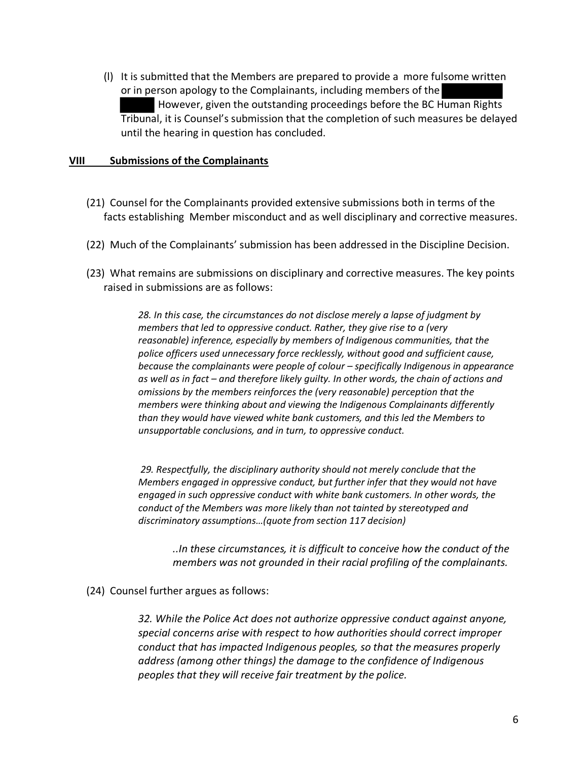(l) It is submitted that the Members are prepared to provide a more fulsome written or in person apology to the Complainants, including members of the However, given the outstanding proceedings before the BC Human Rights Tribunal, it is Counsel's submission that the completion of such measures be delayed until the hearing in question has concluded.

#### **VIII Submissions of the Complainants**

- (21) Counsel for the Complainants provided extensive submissions both in terms of the facts establishing Member misconduct and as well disciplinary and corrective measures.
- (22) Much of the Complainants' submission has been addressed in the Discipline Decision.
- (23) What remains are submissions on disciplinary and corrective measures. The key points raised in submissions are as follows:

*28. In this case, the circumstances do not disclose merely a lapse of judgment by members that led to oppressive conduct. Rather, they give rise to a (very reasonable) inference, especially by members of Indigenous communities, that the police officers used unnecessary force recklessly, without good and sufficient cause, because the complainants were people of colour – specifically Indigenous in appearance as well as in fact – and therefore likely guilty. In other words, the chain of actions and omissions by the members reinforces the (very reasonable) perception that the members were thinking about and viewing the Indigenous Complainants differently than they would have viewed white bank customers, and this led the Members to unsupportable conclusions, and in turn, to oppressive conduct.*

*29. Respectfully, the disciplinary authority should not merely conclude that the Members engaged in oppressive conduct, but further infer that they would not have engaged in such oppressive conduct with white bank customers. In other words, the conduct of the Members was more likely than not tainted by stereotyped and discriminatory assumptions…(quote from section 117 decision)*

*..In these circumstances, it is difficult to conceive how the conduct of the members was not grounded in their racial profiling of the complainants.*

(24) Counsel further argues as follows:

*32. While the Police Act does not authorize oppressive conduct against anyone, special concerns arise with respect to how authorities should correct improper conduct that has impacted Indigenous peoples, so that the measures properly address (among other things) the damage to the confidence of Indigenous peoples that they will receive fair treatment by the police.*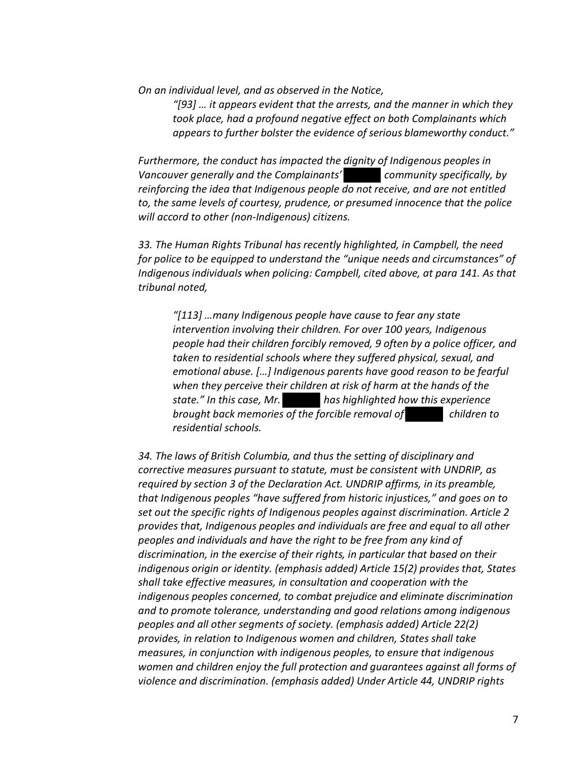*On an individual level, and as observed in the Notice,* 

*"[93] … it appears evident that the arrests, and the manner in which they took place, had a profound negative effect on both Complainants which appears to further bolster the evidence of serious blameworthy conduct."* 

*Furthermore, the conduct has impacted the dignity of Indigenous peoples in Vancouver generally and the Complainants' community specifically, by reinforcing the idea that Indigenous people do not receive, and are not entitled to, the same levels of courtesy, prudence, or presumed innocence that the police will accord to other (non-Indigenous) citizens.* 

*33. The Human Rights Tribunal has recently highlighted, in Campbell, the need for police to be equipped to understand the "unique needs and circumstances" of Indigenous individuals when policing: Campbell, cited above, at para 141. As that tribunal noted,* 

*"[113] …many Indigenous people have cause to fear any state intervention involving their children. For over 100 years, Indigenous people had their children forcibly removed, 9 often by a police officer, and taken to residential schools where they suffered physical, sexual, and emotional abuse. […] Indigenous parents have good reason to be fearful when they perceive their children at risk of harm at the hands of the state." In this case, Mr. has highlighted how this experience brought back memories of the forcible removal of children to residential schools.*

*34. The laws of British Columbia, and thus the setting of disciplinary and corrective measures pursuant to statute, must be consistent with UNDRIP, as required by section 3 of the Declaration Act. UNDRIP affirms, in its preamble, that Indigenous peoples "have suffered from historic injustices," and goes on to set out the specific rights of Indigenous peoples against discrimination. Article 2 provides that, Indigenous peoples and individuals are free and equal to all other peoples and individuals and have the right to be free from any kind of discrimination, in the exercise of their rights, in particular that based on their indigenous origin or identity. (emphasis added) Article 15(2) provides that, States shall take effective measures, in consultation and cooperation with the indigenous peoples concerned, to combat prejudice and eliminate discrimination and to promote tolerance, understanding and good relations among indigenous peoples and all other segments of society. (emphasis added) Article 22(2) provides, in relation to Indigenous women and children, States shall take measures, in conjunction with indigenous peoples, to ensure that indigenous women and children enjoy the full protection and guarantees against all forms of violence and discrimination. (emphasis added) Under Article 44, UNDRIP rights*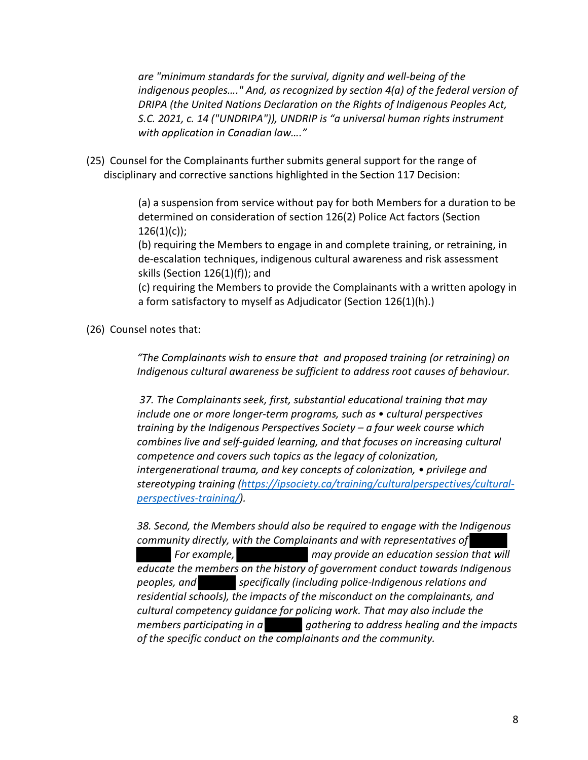*are "minimum standards for the survival, dignity and well-being of the indigenous peoples…." And, as recognized by section 4(a) of the federal version of DRIPA (the United Nations Declaration on the Rights of Indigenous Peoples Act, S.C. 2021, c. 14 ("UNDRIPA")), UNDRIP is "a universal human rights instrument with application in Canadian law…."*

(25) Counsel for the Complainants further submits general support for the range of disciplinary and corrective sanctions highlighted in the Section 117 Decision:

> (a) a suspension from service without pay for both Members for a duration to be determined on consideration of section 126(2) Police Act factors (Section  $126(1)(c)$ ;

(b) requiring the Members to engage in and complete training, or retraining, in de-escalation techniques, indigenous cultural awareness and risk assessment skills (Section 126(1)(f)); and

(c) requiring the Members to provide the Complainants with a written apology in a form satisfactory to myself as Adjudicator (Section 126(1)(h).)

(26) Counsel notes that:

*"The Complainants wish to ensure that and proposed training (or retraining) on Indigenous cultural awareness be sufficient to address root causes of behaviour.*

*37. The Complainants seek, first, substantial educational training that may include one or more longer-term programs, such as • cultural perspectives training by the Indigenous Perspectives Society – a four week course which combines live and self-guided learning, and that focuses on increasing cultural competence and covers such topics as the legacy of colonization, intergenerational trauma, and key concepts of colonization, • privilege and stereotyping training (https://ipsociety.ca/training/culturalperspectives/culturalperspectives-training/).* 

*38. Second, the Members should also be required to engage with the Indigenous community directly, with the Complainants and with representatives of For example, may provide an education session that will educate the members on the history of government conduct towards Indigenous peoples, and specifically (including police-Indigenous relations and residential schools), the impacts of the misconduct on the complainants, and cultural competency guidance for policing work. That may also include the members participating in a gathering to address healing and the impacts of the specific conduct on the complainants and the community.*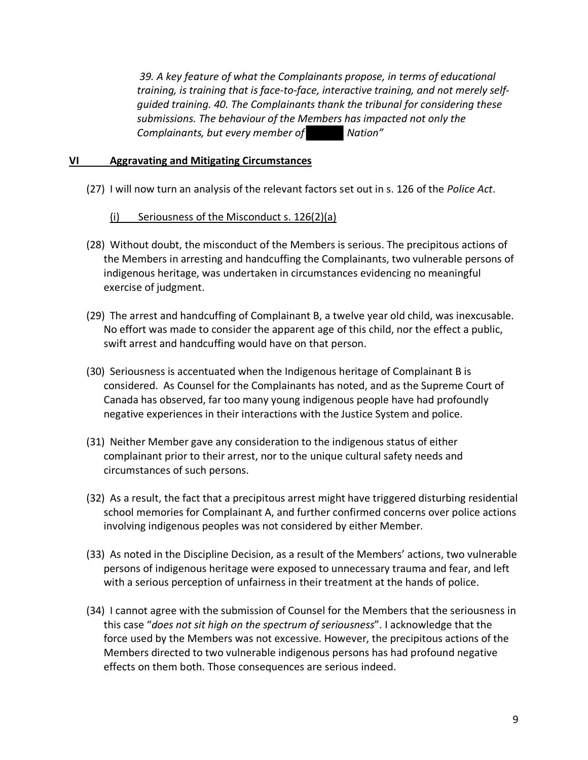*39. A key feature of what the Complainants propose, in terms of educational training, is training that is face-to-face, interactive training, and not merely selfguided training. 40. The Complainants thank the tribunal for considering these submissions. The behaviour of the Members has impacted not only the Complainants, but every member of Nation"*

# **VI Aggravating and Mitigating Circumstances**

(27) I will now turn an analysis of the relevant factors set out in s. 126 of the *Police Act*.

# (i) Seriousness of the Misconduct s.  $126(2)(a)$

- (28) Without doubt, the misconduct of the Members is serious. The precipitous actions of the Members in arresting and handcuffing the Complainants, two vulnerable persons of indigenous heritage, was undertaken in circumstances evidencing no meaningful exercise of judgment.
- (29) The arrest and handcuffing of Complainant B, a twelve year old child, was inexcusable. No effort was made to consider the apparent age of this child, nor the effect a public, swift arrest and handcuffing would have on that person.
- (30) Seriousness is accentuated when the Indigenous heritage of Complainant B is considered. As Counsel for the Complainants has noted, and as the Supreme Court of Canada has observed, far too many young indigenous people have had profoundly negative experiences in their interactions with the Justice System and police.
- (31) Neither Member gave any consideration to the indigenous status of either complainant prior to their arrest, nor to the unique cultural safety needs and circumstances of such persons.
- (32) As a result, the fact that a precipitous arrest might have triggered disturbing residential school memories for Complainant A, and further confirmed concerns over police actions involving indigenous peoples was not considered by either Member.
- (33) As noted in the Discipline Decision, as a result of the Members' actions, two vulnerable persons of indigenous heritage were exposed to unnecessary trauma and fear, and left with a serious perception of unfairness in their treatment at the hands of police.
- (34) I cannot agree with the submission of Counsel for the Members that the seriousness in this case "*does not sit high on the spectrum of seriousness*". I acknowledge that the force used by the Members was not excessive. However, the precipitous actions of the Members directed to two vulnerable indigenous persons has had profound negative effects on them both. Those consequences are serious indeed.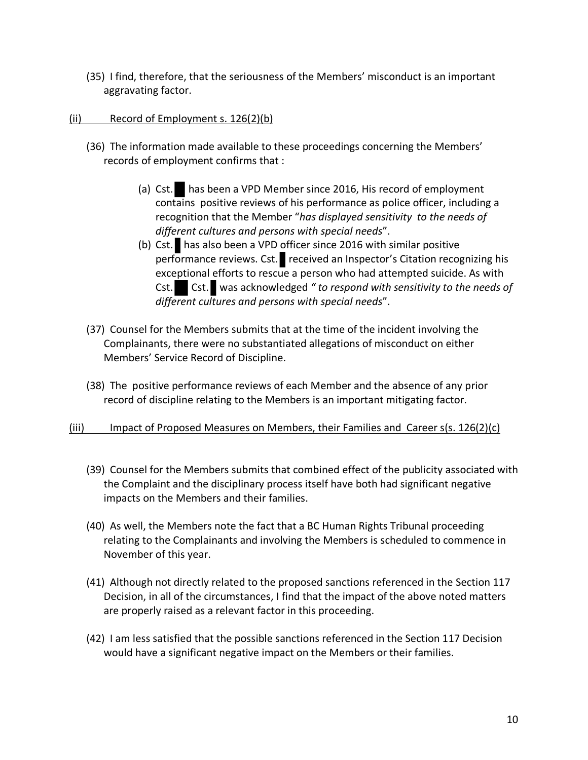(35) I find, therefore, that the seriousness of the Members' misconduct is an important aggravating factor.

# (ii) Record of Employment s. 126(2)(b)

- (36) The information made available to these proceedings concerning the Members' records of employment confirms that :
	- (a) Cst. has been a VPD Member since 2016, His record of employment contains positive reviews of his performance as police officer, including a recognition that the Member "*has displayed sensitivity to the needs of different cultures and persons with special needs*".
	- (b) Cst. has also been a VPD officer since 2016 with similar positive performance reviews. Cst. received an Inspector's Citation recognizing his exceptional efforts to rescue a person who had attempted suicide. As with Cst. Cst. was acknowledged *" to respond with sensitivity to the needs of different cultures and persons with special needs*".
- (37) Counsel for the Members submits that at the time of the incident involving the Complainants, there were no substantiated allegations of misconduct on either Members' Service Record of Discipline.
- (38) The positive performance reviews of each Member and the absence of any prior record of discipline relating to the Members is an important mitigating factor.
- (iii) Impact of Proposed Measures on Members, their Families and Career s(s. 126(2)(c)
	- (39) Counsel for the Members submits that combined effect of the publicity associated with the Complaint and the disciplinary process itself have both had significant negative impacts on the Members and their families.
	- (40) As well, the Members note the fact that a BC Human Rights Tribunal proceeding relating to the Complainants and involving the Members is scheduled to commence in November of this year.
	- (41) Although not directly related to the proposed sanctions referenced in the Section 117 Decision, in all of the circumstances, I find that the impact of the above noted matters are properly raised as a relevant factor in this proceeding.
	- (42) I am less satisfied that the possible sanctions referenced in the Section 117 Decision would have a significant negative impact on the Members or their families.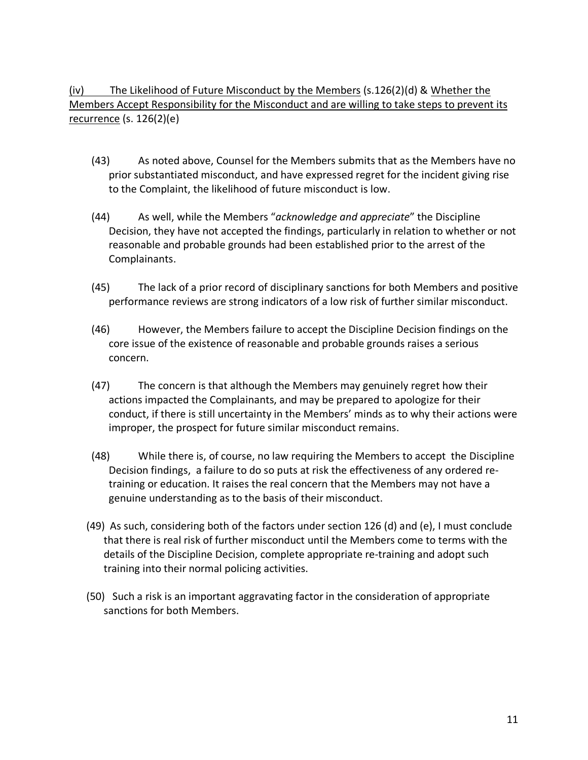(iv) The Likelihood of Future Misconduct by the Members (s.126(2)(d) & Whether the Members Accept Responsibility for the Misconduct and are willing to take steps to prevent its recurrence (s. 126(2)(e)

- (43) As noted above, Counsel for the Members submits that as the Members have no prior substantiated misconduct, and have expressed regret for the incident giving rise to the Complaint, the likelihood of future misconduct is low.
- (44) As well, while the Members "*acknowledge and appreciate*" the Discipline Decision, they have not accepted the findings, particularly in relation to whether or not reasonable and probable grounds had been established prior to the arrest of the Complainants.
- (45) The lack of a prior record of disciplinary sanctions for both Members and positive performance reviews are strong indicators of a low risk of further similar misconduct.
- (46) However, the Members failure to accept the Discipline Decision findings on the core issue of the existence of reasonable and probable grounds raises a serious concern.
- (47) The concern is that although the Members may genuinely regret how their actions impacted the Complainants, and may be prepared to apologize for their conduct, if there is still uncertainty in the Members' minds as to why their actions were improper, the prospect for future similar misconduct remains.
- (48) While there is, of course, no law requiring the Members to accept the Discipline Decision findings, a failure to do so puts at risk the effectiveness of any ordered retraining or education. It raises the real concern that the Members may not have a genuine understanding as to the basis of their misconduct.
- (49) As such, considering both of the factors under section 126 (d) and (e), I must conclude that there is real risk of further misconduct until the Members come to terms with the details of the Discipline Decision, complete appropriate re-training and adopt such training into their normal policing activities.
- (50) Such a risk is an important aggravating factor in the consideration of appropriate sanctions for both Members.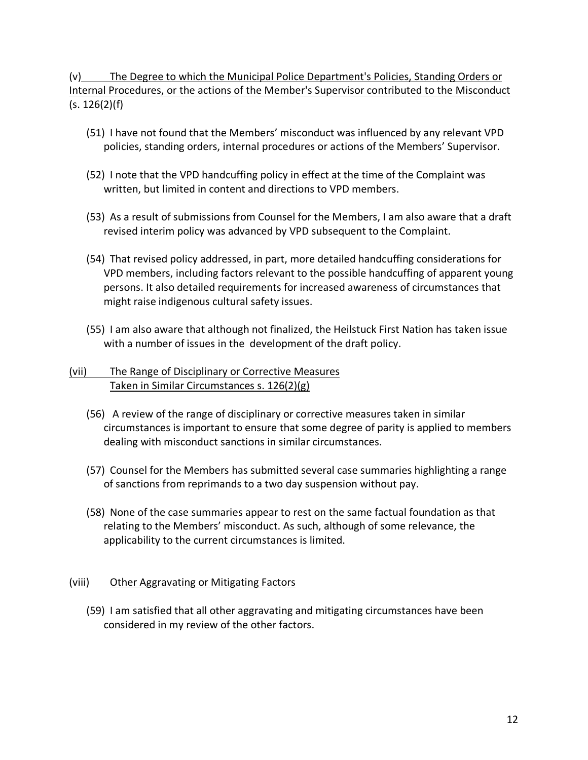(v) The Degree to which the Municipal Police Department's Policies, Standing Orders or Internal Procedures, or the actions of the Member's Supervisor contributed to the Misconduct (s. 126(2)(f)

- (51) I have not found that the Members' misconduct was influenced by any relevant VPD policies, standing orders, internal procedures or actions of the Members' Supervisor.
- (52) I note that the VPD handcuffing policy in effect at the time of the Complaint was written, but limited in content and directions to VPD members.
- (53) As a result of submissions from Counsel for the Members, I am also aware that a draft revised interim policy was advanced by VPD subsequent to the Complaint.
- (54) That revised policy addressed, in part, more detailed handcuffing considerations for VPD members, including factors relevant to the possible handcuffing of apparent young persons. It also detailed requirements for increased awareness of circumstances that might raise indigenous cultural safety issues.
- (55) I am also aware that although not finalized, the Heilstuck First Nation has taken issue with a number of issues in the development of the draft policy.

# (vii) The Range of Disciplinary or Corrective Measures Taken in Similar Circumstances s. 126(2)(g)

- (56) A review of the range of disciplinary or corrective measures taken in similar circumstances is important to ensure that some degree of parity is applied to members dealing with misconduct sanctions in similar circumstances.
- (57) Counsel for the Members has submitted several case summaries highlighting a range of sanctions from reprimands to a two day suspension without pay.
- (58) None of the case summaries appear to rest on the same factual foundation as that relating to the Members' misconduct. As such, although of some relevance, the applicability to the current circumstances is limited.

# (viii) Other Aggravating or Mitigating Factors

(59) I am satisfied that all other aggravating and mitigating circumstances have been considered in my review of the other factors.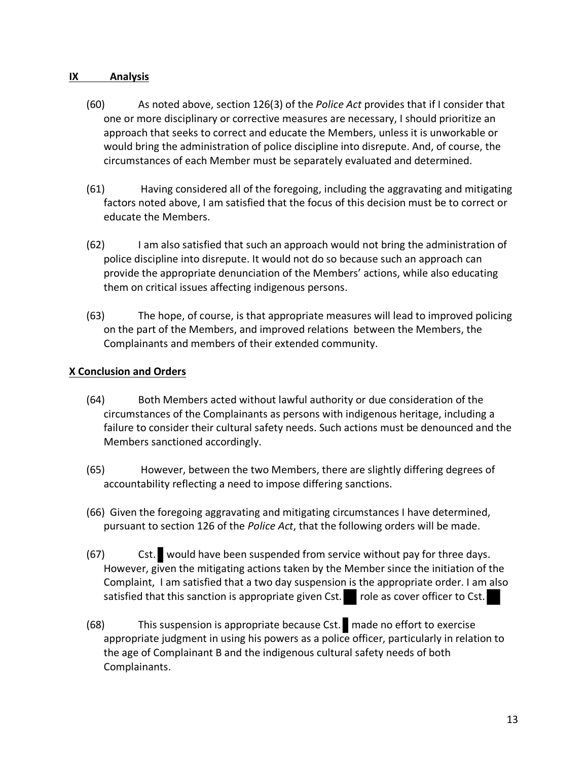# **IX Analysis**

- (60) As noted above, section 126(3) of the *Police Act* provides that if I consider that one or more disciplinary or corrective measures are necessary, I should prioritize an approach that seeks to correct and educate the Members, unless it is unworkable or would bring the administration of police discipline into disrepute. And, of course, the circumstances of each Member must be separately evaluated and determined.
- (61) Having considered all of the foregoing, including the aggravating and mitigating factors noted above, I am satisfied that the focus of this decision must be to correct or educate the Members.
- (62) I am also satisfied that such an approach would not bring the administration of police discipline into disrepute. It would not do so because such an approach can provide the appropriate denunciation of the Members' actions, while also educating them on critical issues affecting indigenous persons.
- (63) The hope, of course, is that appropriate measures will lead to improved policing on the part of the Members, and improved relations between the Members, the Complainants and members of their extended community.

# **X Conclusion and Orders**

- (64) Both Members acted without lawful authority or due consideration of the circumstances of the Complainants as persons with indigenous heritage, including a failure to consider their cultural safety needs. Such actions must be denounced and the Members sanctioned accordingly.
- (65) However, between the two Members, there are slightly differing degrees of accountability reflecting a need to impose differing sanctions.
- (66) Given the foregoing aggravating and mitigating circumstances I have determined, pursuant to section 126 of the *Police Act*, that the following orders will be made.
- (67) Cst. would have been suspended from service without pay for three days. However, given the mitigating actions taken by the Member since the initiation of the Complaint, I am satisfied that a two day suspension is the appropriate order. I am also satisfied that this sanction is appropriate given Cst. role as cover officer to Cst.
- (68) This suspension is appropriate because Cst. made no effort to exercise appropriate judgment in using his powers as a police officer, particularly in relation to the age of Complainant B and the indigenous cultural safety needs of both Complainants.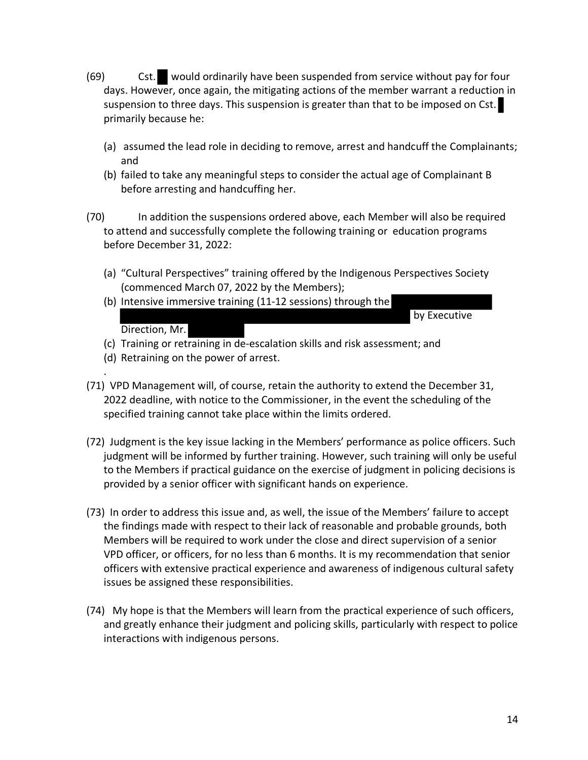- (69) Cst. would ordinarily have been suspended from service without pay for four days. However, once again, the mitigating actions of the member warrant a reduction in suspension to three days. This suspension is greater than that to be imposed on Cst. primarily because he:
	- (a) assumed the lead role in deciding to remove, arrest and handcuff the Complainants; and
	- (b) failed to take any meaningful steps to consider the actual age of Complainant B before arresting and handcuffing her.
- (70) In addition the suspensions ordered above, each Member will also be required to attend and successfully complete the following training or education programs before December 31, 2022:
	- (a) "Cultural Perspectives" training offered by the Indigenous Perspectives Society (commenced March 07, 2022 by the Members);
	- (b) Intensive immersive training (11-12 sessions) through the by Executive

# Direction, Mr.

.

(c) Training or retraining in de-escalation skills and risk assessment; and

- (d) Retraining on the power of arrest.
- (71) VPD Management will, of course, retain the authority to extend the December 31, 2022 deadline, with notice to the Commissioner, in the event the scheduling of the specified training cannot take place within the limits ordered.
- (72) Judgment is the key issue lacking in the Members' performance as police officers. Such judgment will be informed by further training. However, such training will only be useful to the Members if practical guidance on the exercise of judgment in policing decisions is provided by a senior officer with significant hands on experience.
- (73) In order to address this issue and, as well, the issue of the Members' failure to accept the findings made with respect to their lack of reasonable and probable grounds, both Members will be required to work under the close and direct supervision of a senior VPD officer, or officers, for no less than 6 months. It is my recommendation that senior officers with extensive practical experience and awareness of indigenous cultural safety issues be assigned these responsibilities.
- (74) My hope is that the Members will learn from the practical experience of such officers, and greatly enhance their judgment and policing skills, particularly with respect to police interactions with indigenous persons.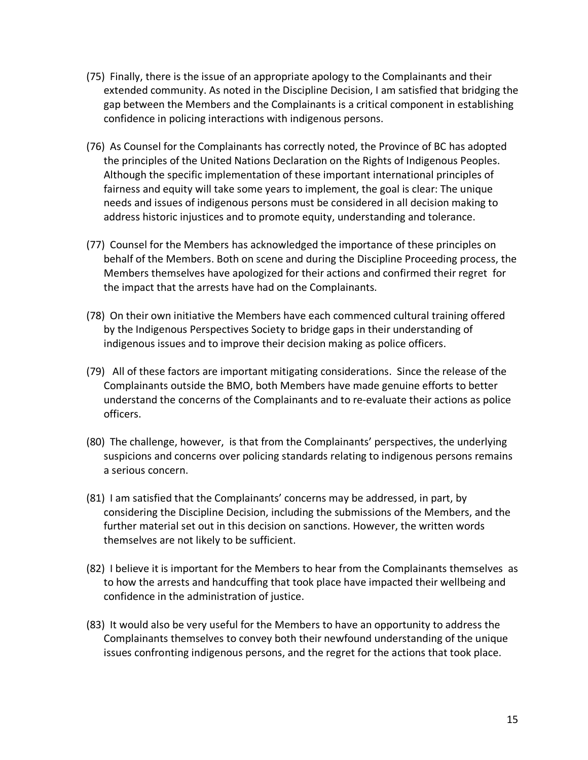- (75) Finally, there is the issue of an appropriate apology to the Complainants and their extended community. As noted in the Discipline Decision, I am satisfied that bridging the gap between the Members and the Complainants is a critical component in establishing confidence in policing interactions with indigenous persons.
- (76) As Counsel for the Complainants has correctly noted, the Province of BC has adopted the principles of the United Nations Declaration on the Rights of Indigenous Peoples. Although the specific implementation of these important international principles of fairness and equity will take some years to implement, the goal is clear: The unique needs and issues of indigenous persons must be considered in all decision making to address historic injustices and to promote equity, understanding and tolerance.
- (77) Counsel for the Members has acknowledged the importance of these principles on behalf of the Members. Both on scene and during the Discipline Proceeding process, the Members themselves have apologized for their actions and confirmed their regret for the impact that the arrests have had on the Complainants.
- (78) On their own initiative the Members have each commenced cultural training offered by the Indigenous Perspectives Society to bridge gaps in their understanding of indigenous issues and to improve their decision making as police officers.
- (79) All of these factors are important mitigating considerations. Since the release of the Complainants outside the BMO, both Members have made genuine efforts to better understand the concerns of the Complainants and to re-evaluate their actions as police officers.
- (80) The challenge, however, is that from the Complainants' perspectives, the underlying suspicions and concerns over policing standards relating to indigenous persons remains a serious concern.
- (81) I am satisfied that the Complainants' concerns may be addressed, in part, by considering the Discipline Decision, including the submissions of the Members, and the further material set out in this decision on sanctions. However, the written words themselves are not likely to be sufficient.
- (82) I believe it is important for the Members to hear from the Complainants themselves as to how the arrests and handcuffing that took place have impacted their wellbeing and confidence in the administration of justice.
- (83) It would also be very useful for the Members to have an opportunity to address the Complainants themselves to convey both their newfound understanding of the unique issues confronting indigenous persons, and the regret for the actions that took place.